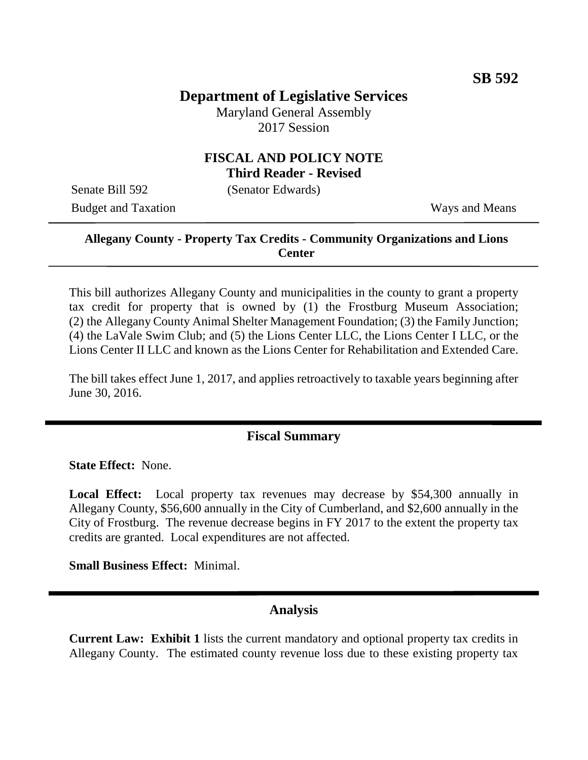# **Department of Legislative Services**

Maryland General Assembly 2017 Session

#### **FISCAL AND POLICY NOTE Third Reader - Revised**

Senate Bill 592 (Senator Edwards)

Budget and Taxation Ways and Means

#### **Allegany County - Property Tax Credits - Community Organizations and Lions Center**

This bill authorizes Allegany County and municipalities in the county to grant a property tax credit for property that is owned by (1) the Frostburg Museum Association; (2) the Allegany County Animal Shelter Management Foundation; (3) the Family Junction; (4) the LaVale Swim Club; and (5) the Lions Center LLC, the Lions Center I LLC, or the Lions Center II LLC and known as the Lions Center for Rehabilitation and Extended Care.

The bill takes effect June 1, 2017, and applies retroactively to taxable years beginning after June 30, 2016.

### **Fiscal Summary**

**State Effect:** None.

**Local Effect:** Local property tax revenues may decrease by \$54,300 annually in Allegany County, \$56,600 annually in the City of Cumberland, and \$2,600 annually in the City of Frostburg. The revenue decrease begins in FY 2017 to the extent the property tax credits are granted. Local expenditures are not affected.

**Small Business Effect:** Minimal.

#### **Analysis**

**Current Law: Exhibit 1** lists the current mandatory and optional property tax credits in Allegany County. The estimated county revenue loss due to these existing property tax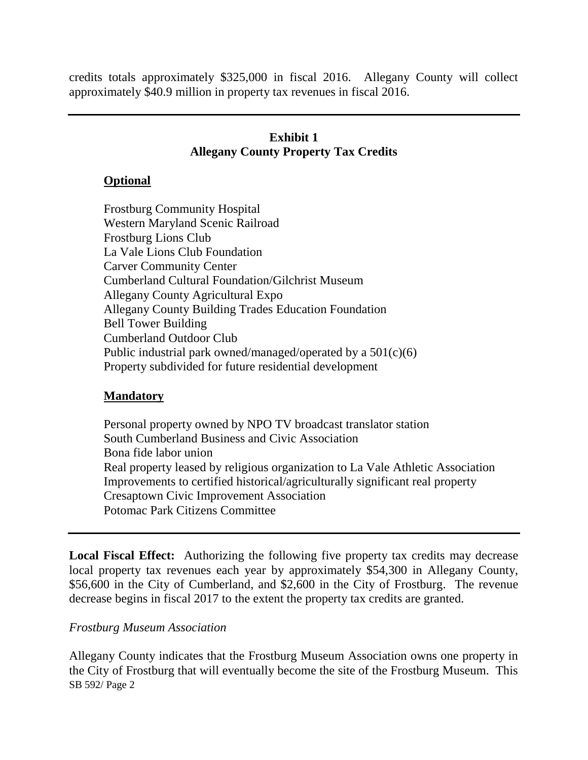credits totals approximately \$325,000 in fiscal 2016. Allegany County will collect approximately \$40.9 million in property tax revenues in fiscal 2016.

## **Exhibit 1 Allegany County Property Tax Credits**

### **Optional**

Frostburg Community Hospital Western Maryland Scenic Railroad Frostburg Lions Club La Vale Lions Club Foundation Carver Community Center Cumberland Cultural Foundation/Gilchrist Museum Allegany County Agricultural Expo Allegany County Building Trades Education Foundation Bell Tower Building Cumberland Outdoor Club Public industrial park owned/managed/operated by a 501(c)(6) Property subdivided for future residential development

### **Mandatory**

Personal property owned by NPO TV broadcast translator station South Cumberland Business and Civic Association Bona fide labor union Real property leased by religious organization to La Vale Athletic Association Improvements to certified historical/agriculturally significant real property Cresaptown Civic Improvement Association Potomac Park Citizens Committee

Local Fiscal Effect: Authorizing the following five property tax credits may decrease local property tax revenues each year by approximately \$54,300 in Allegany County, \$56,600 in the City of Cumberland, and \$2,600 in the City of Frostburg. The revenue decrease begins in fiscal 2017 to the extent the property tax credits are granted.

### *Frostburg Museum Association*

SB 592/ Page 2 Allegany County indicates that the Frostburg Museum Association owns one property in the City of Frostburg that will eventually become the site of the Frostburg Museum. This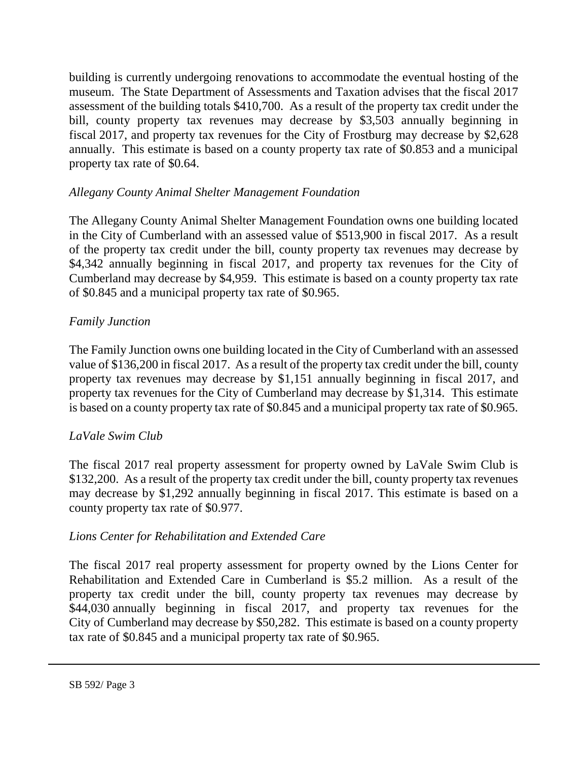building is currently undergoing renovations to accommodate the eventual hosting of the museum. The State Department of Assessments and Taxation advises that the fiscal 2017 assessment of the building totals \$410,700. As a result of the property tax credit under the bill, county property tax revenues may decrease by \$3,503 annually beginning in fiscal 2017, and property tax revenues for the City of Frostburg may decrease by \$2,628 annually. This estimate is based on a county property tax rate of \$0.853 and a municipal property tax rate of \$0.64.

## *Allegany County Animal Shelter Management Foundation*

The Allegany County Animal Shelter Management Foundation owns one building located in the City of Cumberland with an assessed value of \$513,900 in fiscal 2017. As a result of the property tax credit under the bill, county property tax revenues may decrease by \$4,342 annually beginning in fiscal 2017, and property tax revenues for the City of Cumberland may decrease by \$4,959. This estimate is based on a county property tax rate of \$0.845 and a municipal property tax rate of \$0.965.

## *Family Junction*

The Family Junction owns one building located in the City of Cumberland with an assessed value of \$136,200 in fiscal 2017. As a result of the property tax credit under the bill, county property tax revenues may decrease by \$1,151 annually beginning in fiscal 2017, and property tax revenues for the City of Cumberland may decrease by \$1,314. This estimate is based on a county property tax rate of \$0.845 and a municipal property tax rate of \$0.965.

### *LaVale Swim Club*

The fiscal 2017 real property assessment for property owned by LaVale Swim Club is \$132,200. As a result of the property tax credit under the bill, county property tax revenues may decrease by \$1,292 annually beginning in fiscal 2017. This estimate is based on a county property tax rate of \$0.977.

### *Lions Center for Rehabilitation and Extended Care*

The fiscal 2017 real property assessment for property owned by the Lions Center for Rehabilitation and Extended Care in Cumberland is \$5.2 million. As a result of the property tax credit under the bill, county property tax revenues may decrease by \$44,030 annually beginning in fiscal 2017, and property tax revenues for the City of Cumberland may decrease by \$50,282. This estimate is based on a county property tax rate of \$0.845 and a municipal property tax rate of \$0.965.